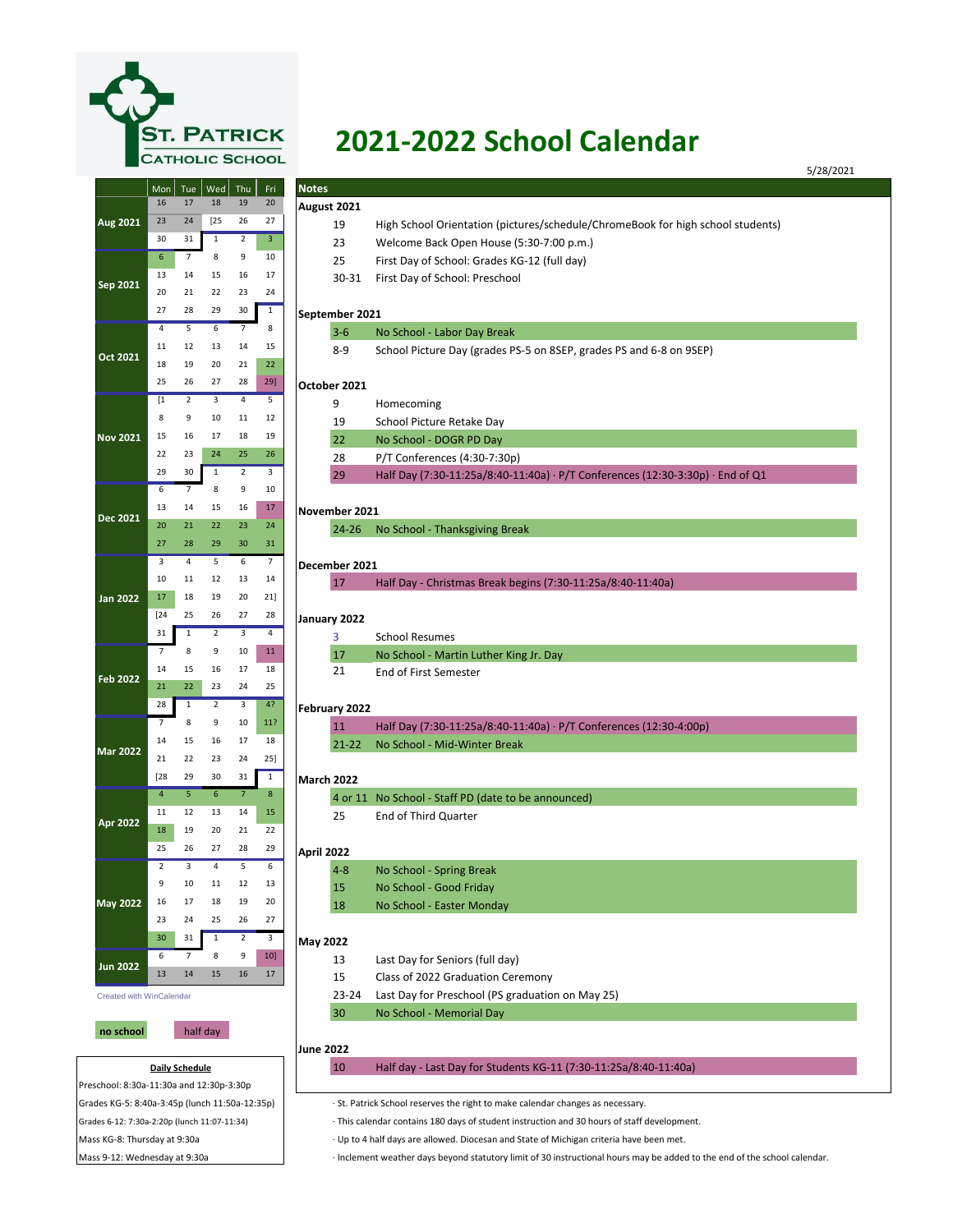

## **2021-2022 School Calendar**

|                             | Mon              | Tue                   | $ $ Wed        | Thu            | Fri            | <b>Notes</b>           |                                                                                 |  |
|-----------------------------|------------------|-----------------------|----------------|----------------|----------------|------------------------|---------------------------------------------------------------------------------|--|
|                             | 16               | 17                    | 18             | 19             | 20             |                        |                                                                                 |  |
| Aug 2021                    | 23               | 24                    | $[25$          | 26             | 27             | August 2021            |                                                                                 |  |
|                             | 30               | 31                    | $\mathbf{1}$   | $\overline{2}$ | $\overline{3}$ | 19                     | High School Orientation (pictures/schedule/ChromeBook for high school students) |  |
|                             | $\boldsymbol{6}$ |                       | 8              | 9              |                | 23                     | Welcome Back Open House (5:30-7:00 p.m.)                                        |  |
| Sep 2021                    |                  | 7                     |                |                | 10             | 25                     | First Day of School: Grades KG-12 (full day)                                    |  |
|                             | 13               | 14                    | 15             | 16             | 17             | 30-31                  | First Day of School: Preschool                                                  |  |
|                             | 20               | 21                    | 22             | 23             | 24             |                        |                                                                                 |  |
|                             | 27               | 28                    | 29             | 30             | $\mathbf{1}$   | September 2021         |                                                                                 |  |
| Oct 2021                    | $\overline{4}$   | 5                     | 6              | $\overline{7}$ | 8              | $3 - 6$                | No School - Labor Day Break                                                     |  |
|                             | 11               | 12                    | 13             | 14             | 15             | $8 - 9$                | School Picture Day (grades PS-5 on 8SEP, grades PS and 6-8 on 9SEP)             |  |
|                             | 18               | 19                    | 20             | 21             | 22             |                        |                                                                                 |  |
|                             | 25               | 26                    | 27             | 28             | 29]            | October 2021           |                                                                                 |  |
| <b>Nov 2021</b>             | $[1]$            | $\overline{2}$        | 3              | $\overline{4}$ | 5              | 9                      | Homecoming                                                                      |  |
|                             | 8                | 9                     | 10             | 11             | 12             | 19                     | School Picture Retake Day                                                       |  |
|                             | 15               | 16                    | 17             | 18             | 19             | 22                     | No School - DOGR PD Day                                                         |  |
|                             | 22               | 23                    | 24             | 25             | 26             | 28                     | P/T Conferences (4:30-7:30p)                                                    |  |
|                             | 29               | 30                    | $\mathbf{1}$   | $\overline{2}$ | 3              | 29                     | Half Day (7:30-11:25a/8:40-11:40a) · P/T Conferences (12:30-3:30p) · End of Q1  |  |
|                             | 6                | 7                     | 8              | 9              | 10             |                        |                                                                                 |  |
|                             | 13               | 14                    | 15             | 16             | 17             | November 2021          |                                                                                 |  |
| <b>Dec 2021</b>             | 20               | 21                    | 22             | 23             | 24             | $24 - 26$              | No School - Thanksgiving Break                                                  |  |
|                             | 27               | 28                    | 29             | 30             | 31             |                        |                                                                                 |  |
|                             | 3                | $\overline{a}$        | 5              | 6              | $\overline{7}$ | December 2021          |                                                                                 |  |
|                             | 10               | 11                    | 12             | 13             | 14             | 17                     |                                                                                 |  |
| <b>Jan 2022</b>             | 17               | 18                    | 19             | 20             | 21]            |                        | Half Day - Christmas Break begins (7:30-11:25a/8:40-11:40a)                     |  |
|                             | $[24]$           | 25                    | 26             | 27             | 28             |                        |                                                                                 |  |
|                             | 31               | $\mathbf{1}$          | $\overline{2}$ | 3              | $\overline{4}$ | January 2022           |                                                                                 |  |
|                             | 7                | 8                     | 9              | 10             | 11             | 3                      | <b>School Resumes</b>                                                           |  |
| <b>Feb 2022</b>             | 14               | 15                    | 16             | 17             | 18             | 17                     | No School - Martin Luther King Jr. Day                                          |  |
|                             | 21               | 22                    | 23             | 24             | 25             | 21                     | <b>End of First Semester</b>                                                    |  |
|                             | 28               | $\mathbf{1}$          | $\overline{2}$ | 3              | 4?             |                        |                                                                                 |  |
| <b>Mar 2022</b><br>Apr 2022 | 7                | 8                     | 9              | 10             | 11?            | February 2022          |                                                                                 |  |
|                             |                  |                       |                |                |                | 11                     | Half Day (7:30-11:25a/8:40-11:40a) · P/T Conferences (12:30-4:00p)              |  |
|                             | 14               | 15                    | 16             | 17             | 18             | $21 - 22$              | No School - Mid-Winter Break                                                    |  |
|                             | 21               | 22                    | 23             | 24             | 25]            |                        |                                                                                 |  |
|                             | [28              | 29                    | 30             | 31             | $\mathbf{1}$   | <b>March 2022</b>      |                                                                                 |  |
|                             | $\overline{4}$   | 5                     | 6              | $7\phantom{.}$ | $8\phantom{1}$ |                        | 4 or 11 No School - Staff PD (date to be announced)                             |  |
|                             | 11               | 12                    | 13             | 14             | 15             | 25                     | <b>End of Third Quarter</b>                                                     |  |
|                             | 18               | 19                    | 20             | 21             | 22             |                        |                                                                                 |  |
|                             | 25               | 26                    | 27             | 28             | 29             | April 2022             |                                                                                 |  |
| <b>May 2022</b>             | $\overline{2}$   | 3                     | 4              | 5              | 6              | $4 - 8$                | No School - Spring Break                                                        |  |
|                             | 9                | 10                    | 11             | 12             | 13             | 15                     | No School - Good Friday                                                         |  |
|                             | 16               | 17                    | 18             | 19             | 20             | 18                     | No School - Easter Monday                                                       |  |
|                             | 23               | 24                    | 25             | 26             | 27             |                        |                                                                                 |  |
|                             | 30               | 31                    | $\mathbf{1}$   | $\overline{2}$ | 3              | May 2022               |                                                                                 |  |
|                             | 6                | 7                     | 8              | 9              | $10$ ]         | 13                     | Last Day for Seniors (full day)                                                 |  |
| <b>Jun 2022</b>             | 13               | 14                    | 15             | 16             | 17             | 15                     | Class of 2022 Graduation Ceremony                                               |  |
| Created with WinCalendar    |                  |                       |                |                |                | 23-24                  | Last Day for Preschool (PS graduation on May 25)                                |  |
|                             |                  |                       |                |                |                |                        |                                                                                 |  |
|                             |                  |                       |                |                |                | 30                     | No School - Memorial Day                                                        |  |
|                             |                  |                       | half day       |                |                |                        |                                                                                 |  |
| no school                   |                  |                       |                |                |                |                        |                                                                                 |  |
|                             |                  | <b>Daily Schedule</b> |                |                |                | <b>June 2022</b><br>10 | Half day - Last Day for Students KG-11 (7:30-11:25a/8:40-11:40a)                |  |

∙ This calendar contains 180 days of student instruction and 30 hours of staff development.

∙ Up to 4 half days are allowed. Diocesan and State of Michigan criteria have been met.

Mass 9-12: Wednesday at 9:30a • Inclement weather days beyond statutory limit of 30 instructional hours may be added to the end of the school calendar.

Mass KG-8: Thursday at 9:30a

Grades 6-12: 7:30a-2:20p (lunch 11:07-11:34)